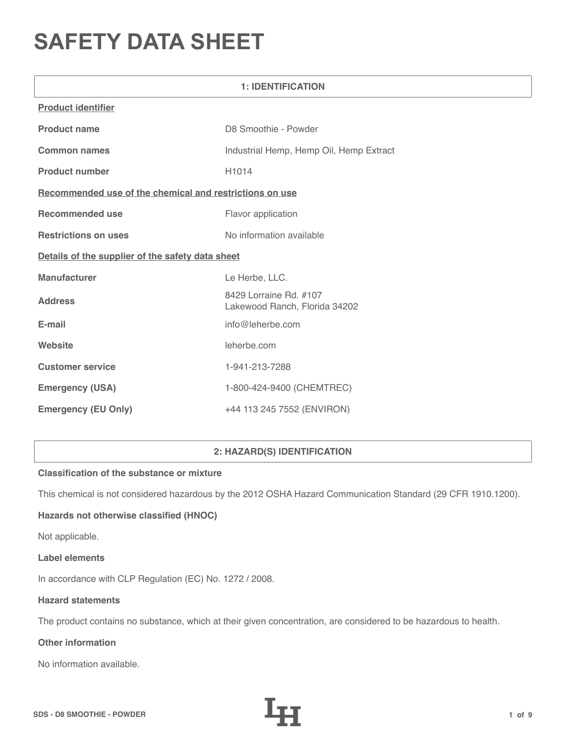# **SAFETY DATA SHEET**

| <b>1: IDENTIFICATION</b>                                |                                                         |  |
|---------------------------------------------------------|---------------------------------------------------------|--|
| <b>Product identifier</b>                               |                                                         |  |
| <b>Product name</b>                                     | D8 Smoothie - Powder                                    |  |
| <b>Common names</b>                                     | Industrial Hemp, Hemp Oil, Hemp Extract                 |  |
| <b>Product number</b>                                   | H <sub>1014</sub>                                       |  |
| Recommended use of the chemical and restrictions on use |                                                         |  |
| <b>Recommended use</b>                                  | Flavor application                                      |  |
| <b>Restrictions on uses</b>                             | No information available                                |  |
| Details of the supplier of the safety data sheet        |                                                         |  |
| <b>Manufacturer</b>                                     | Le Herbe, LLC.                                          |  |
| <b>Address</b>                                          | 8429 Lorraine Rd. #107<br>Lakewood Ranch, Florida 34202 |  |
| E-mail                                                  | info@leherbe.com                                        |  |
| Website                                                 | leherbe.com                                             |  |
| <b>Customer service</b>                                 | 1-941-213-7288                                          |  |
| <b>Emergency (USA)</b>                                  | 1-800-424-9400 (CHEMTREC)                               |  |
| <b>Emergency (EU Only)</b>                              | +44 113 245 7552 (ENVIRON)                              |  |

# **2: HAZARD(S) IDENTIFICATION**

## **Classification of the substance or mixture**

This chemical is not considered hazardous by the 2012 OSHA Hazard Communication Standard (29 CFR 1910.1200).

## **Hazards not otherwise classified (HNOC)**

Not applicable.

#### **Label elements**

In accordance with CLP Regulation (EC) No. 1272 / 2008.

#### **Hazard statements**

The product contains no substance, which at their given concentration, are considered to be hazardous to health.

# **Other information**

No information available.

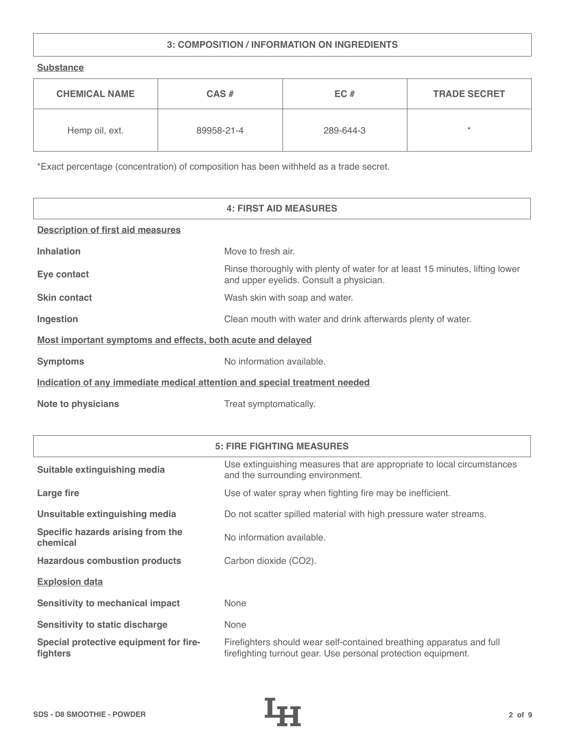# **3: COMPOSITION / INFORMATION ON INGREDIENTS**

**Substance**

| <b>CHEMICAL NAME</b> | $CAS \#$   | EC#       | <b>TRADE SECRET</b> |
|----------------------|------------|-----------|---------------------|
| Hemp oil, ext.       | 89958-21-4 | 289-644-3 | ÷                   |

\*Exact percentage (concentration) of composition has been withheld as a trade secret.

|                                                                            | <b>4: FIRST AID MEASURES</b>                                                                                            |
|----------------------------------------------------------------------------|-------------------------------------------------------------------------------------------------------------------------|
| <b>Description of first aid measures</b>                                   |                                                                                                                         |
| <b>Inhalation</b>                                                          | Move to fresh air.                                                                                                      |
| Eye contact                                                                | Rinse thoroughly with plenty of water for at least 15 minutes, lifting lower<br>and upper eyelids. Consult a physician. |
| <b>Skin contact</b>                                                        | Wash skin with soap and water.                                                                                          |
| Ingestion                                                                  | Clean mouth with water and drink afterwards plenty of water.                                                            |
| Most important symptoms and effects, both acute and delayed                |                                                                                                                         |
| <b>Symptoms</b>                                                            | No information available.                                                                                               |
| Indication of any immediate medical attention and special treatment needed |                                                                                                                         |
| <b>Note to physicians</b>                                                  | Treat symptomatically.                                                                                                  |

|                                                    | <b>5: FIRE FIGHTING MEASURES</b>                                                                                                      |
|----------------------------------------------------|---------------------------------------------------------------------------------------------------------------------------------------|
| Suitable extinguishing media                       | Use extinguishing measures that are appropriate to local circumstances<br>and the surrounding environment.                            |
| Large fire                                         | Use of water spray when fighting fire may be inefficient.                                                                             |
| Unsuitable extinguishing media                     | Do not scatter spilled material with high pressure water streams.                                                                     |
| Specific hazards arising from the<br>chemical      | No information available.                                                                                                             |
| <b>Hazardous combustion products</b>               | Carbon dioxide (CO2).                                                                                                                 |
| <b>Explosion data</b>                              |                                                                                                                                       |
| <b>Sensitivity to mechanical impact</b>            | None                                                                                                                                  |
| <b>Sensitivity to static discharge</b>             | None                                                                                                                                  |
| Special protective equipment for fire-<br>fighters | Firefighters should wear self-contained breathing apparatus and full<br>firefighting turnout gear. Use personal protection equipment. |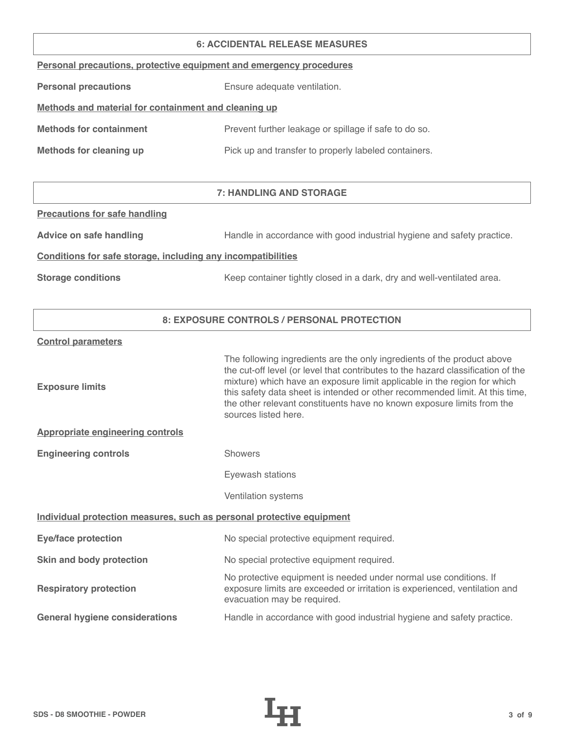#### **6: ACCIDENTAL RELEASE MEASURES**

|  |  | Personal precautions, protective equipment and emergency procedures |  |
|--|--|---------------------------------------------------------------------|--|
|  |  |                                                                     |  |

**Personal precautions** Ensure adequate ventilation.

# **Methods and material for containment and cleaning up**

| <b>Methods for containment</b> | Prevent further leakage or spillage if safe to do so. |
|--------------------------------|-------------------------------------------------------|
|                                |                                                       |

**Methods for cleaning up Pick up and transfer to properly labeled containers.** 

# **7: HANDLING AND STORAGE**

**Precautions for safe handling**

Advice on safe handling **Handle in accordance with good industrial hygiene and safety practice.** 

#### **Conditions for safe storage, including any incompatibilities**

**Storage conditions** Keep container tightly closed in a dark, dry and well-ventilated area.

## **8: EXPOSURE CONTROLS / PERSONAL PROTECTION**

#### **Control parameters**

| <b>Exposure limits</b>                                                | The following ingredients are the only ingredients of the product above<br>the cut-off level (or level that contributes to the hazard classification of the<br>mixture) which have an exposure limit applicable in the region for which<br>this safety data sheet is intended or other recommended limit. At this time,<br>the other relevant constituents have no known exposure limits from the<br>sources listed here. |
|-----------------------------------------------------------------------|---------------------------------------------------------------------------------------------------------------------------------------------------------------------------------------------------------------------------------------------------------------------------------------------------------------------------------------------------------------------------------------------------------------------------|
| <b>Appropriate engineering controls</b>                               |                                                                                                                                                                                                                                                                                                                                                                                                                           |
| <b>Engineering controls</b>                                           | <b>Showers</b>                                                                                                                                                                                                                                                                                                                                                                                                            |
|                                                                       | Eyewash stations                                                                                                                                                                                                                                                                                                                                                                                                          |
|                                                                       | Ventilation systems                                                                                                                                                                                                                                                                                                                                                                                                       |
| Individual protection measures, such as personal protective equipment |                                                                                                                                                                                                                                                                                                                                                                                                                           |
| <b>Eye/face protection</b>                                            | No special protective equipment required.                                                                                                                                                                                                                                                                                                                                                                                 |
| Skin and body protection                                              | No special protective equipment required.                                                                                                                                                                                                                                                                                                                                                                                 |
| <b>Respiratory protection</b>                                         | No protective equipment is needed under normal use conditions. If<br>exposure limits are exceeded or irritation is experienced, ventilation and<br>evacuation may be required.                                                                                                                                                                                                                                            |
| <b>General hygiene considerations</b>                                 | Handle in accordance with good industrial hygiene and safety practice.                                                                                                                                                                                                                                                                                                                                                    |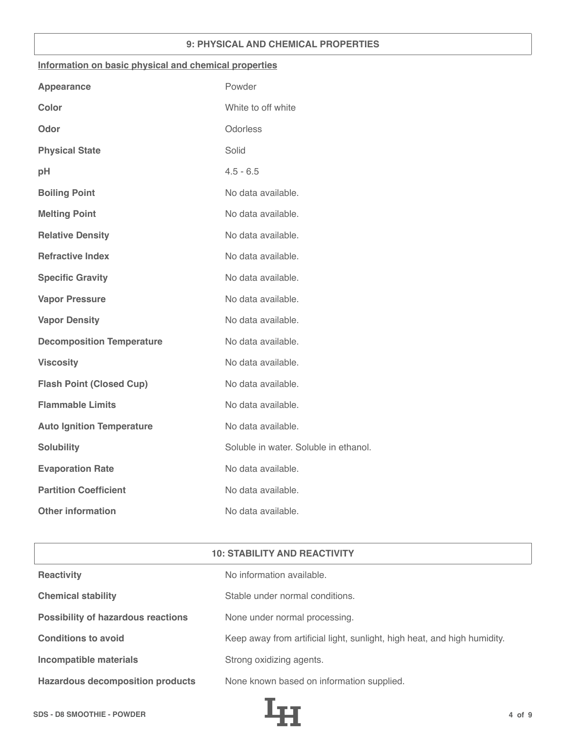#### **9: PHYSICAL AND CHEMICAL PROPERTIES**

#### **Information on basic physical and chemical properties**

| <b>Appearance</b>                | Powder                                |
|----------------------------------|---------------------------------------|
| <b>Color</b>                     | White to off white                    |
| Odor                             | Odorless                              |
| <b>Physical State</b>            | Solid                                 |
| pH                               | $4.5 - 6.5$                           |
| <b>Boiling Point</b>             | No data available.                    |
| <b>Melting Point</b>             | No data available.                    |
| <b>Relative Density</b>          | No data available.                    |
| <b>Refractive Index</b>          | No data available.                    |
| <b>Specific Gravity</b>          | No data available.                    |
| <b>Vapor Pressure</b>            | No data available.                    |
| <b>Vapor Density</b>             | No data available.                    |
| <b>Decomposition Temperature</b> | No data available.                    |
| <b>Viscosity</b>                 | No data available.                    |
| <b>Flash Point (Closed Cup)</b>  | No data available.                    |
| <b>Flammable Limits</b>          | No data available.                    |
| <b>Auto Ignition Temperature</b> | No data available.                    |
| <b>Solubility</b>                | Soluble in water. Soluble in ethanol. |
| <b>Evaporation Rate</b>          | No data available.                    |
| <b>Partition Coefficient</b>     | No data available.                    |
| <b>Other information</b>         | No data available.                    |

|  | <b>10: STABILITY AND REACTIVITY</b> |
|--|-------------------------------------|
|  |                                     |

| Reactivity                                | No information available.                                                |
|-------------------------------------------|--------------------------------------------------------------------------|
| <b>Chemical stability</b>                 | Stable under normal conditions.                                          |
| <b>Possibility of hazardous reactions</b> | None under normal processing.                                            |
| <b>Conditions to avoid</b>                | Keep away from artificial light, sunlight, high heat, and high humidity. |
| Incompatible materials                    | Strong oxidizing agents.                                                 |
| <b>Hazardous decomposition products</b>   | None known based on information supplied.                                |

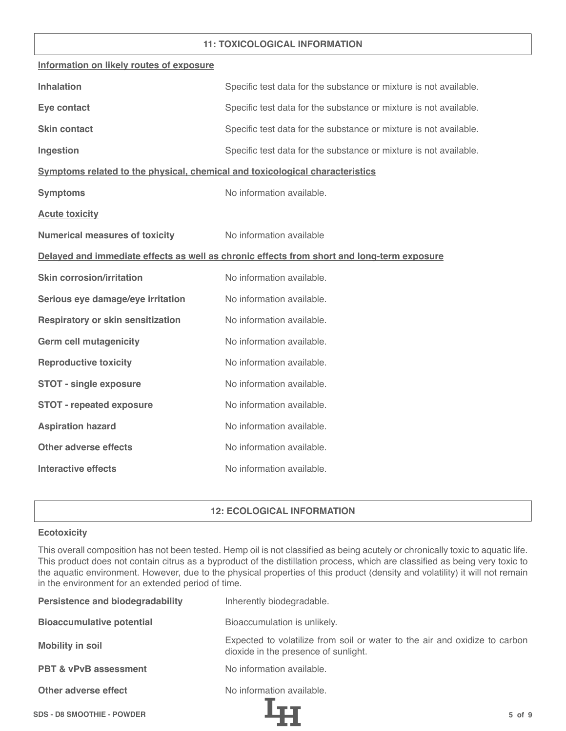#### **11: TOXICOLOGICAL INFORMATION**

| Information on likely routes of exposure                                     |                                                                                            |
|------------------------------------------------------------------------------|--------------------------------------------------------------------------------------------|
| <b>Inhalation</b>                                                            | Specific test data for the substance or mixture is not available.                          |
| Eye contact                                                                  | Specific test data for the substance or mixture is not available.                          |
| <b>Skin contact</b>                                                          | Specific test data for the substance or mixture is not available.                          |
| Ingestion                                                                    | Specific test data for the substance or mixture is not available.                          |
| Symptoms related to the physical, chemical and toxicological characteristics |                                                                                            |
| <b>Symptoms</b>                                                              | No information available.                                                                  |
| <b>Acute toxicity</b>                                                        |                                                                                            |
| <b>Numerical measures of toxicity</b>                                        | No information available                                                                   |
|                                                                              | Delayed and immediate effects as well as chronic effects from short and long-term exposure |
| <b>Skin corrosion/irritation</b>                                             | No information available.                                                                  |
| Serious eye damage/eye irritation                                            | No information available.                                                                  |
| <b>Respiratory or skin sensitization</b>                                     | No information available.                                                                  |
| <b>Germ cell mutagenicity</b>                                                | No information available.                                                                  |
| <b>Reproductive toxicity</b>                                                 | No information available.                                                                  |
| <b>STOT - single exposure</b>                                                | No information available.                                                                  |
| <b>STOT - repeated exposure</b>                                              | No information available.                                                                  |
| <b>Aspiration hazard</b>                                                     | No information available.                                                                  |
| <b>Other adverse effects</b>                                                 | No information available.                                                                  |
| <b>Interactive effects</b>                                                   | No information available.                                                                  |

## **12: ECOLOGICAL INFORMATION**

#### **Ecotoxicity**

This overall composition has not been tested. Hemp oil is not classified as being acutely or chronically toxic to aquatic life. This product does not contain citrus as a byproduct of the distillation process, which are classified as being very toxic to the aquatic environment. However, due to the physical properties of this product (density and volatility) it will not remain in the environment for an extended period of time.

| <b>Persistence and biodegradability</b> | Inherently biodegradable.                                                                                          |
|-----------------------------------------|--------------------------------------------------------------------------------------------------------------------|
| <b>Bioaccumulative potential</b>        | Bioaccumulation is unlikely.                                                                                       |
| <b>Mobility in soil</b>                 | Expected to volatilize from soil or water to the air and oxidize to carbon<br>dioxide in the presence of sunlight. |
| <b>PBT &amp; vPvB assessment</b>        | No information available.                                                                                          |
| Other adverse effect                    | No information available.                                                                                          |
| <b>SDS - D8 SMOOTHIE - POWDER</b>       | $5$ of $9$                                                                                                         |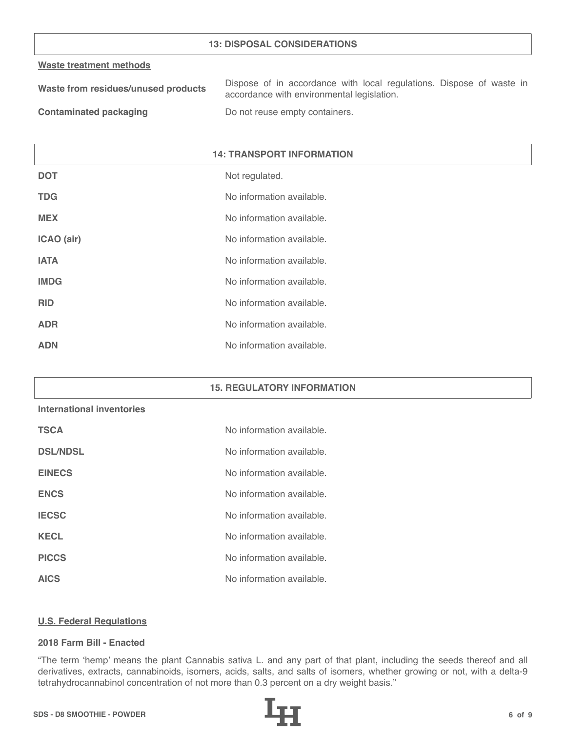#### **13: DISPOSAL CONSIDERATIONS**

#### **Waste treatment methods**

| Waste from residues/unused products | Dispose of in accordance with local regulations. Dispose of waste in |
|-------------------------------------|----------------------------------------------------------------------|
|                                     | accordance with environmental legislation.                           |
| .                                   |                                                                      |

**Contaminated packaging The Contaminated packaging Containers.** 

| <b>14: TRANSPORT INFORMATION</b> |                           |
|----------------------------------|---------------------------|
| <b>DOT</b>                       | Not regulated.            |
| <b>TDG</b>                       | No information available. |
| <b>MEX</b>                       | No information available. |
| ICAO (air)                       | No information available. |
| <b>IATA</b>                      | No information available. |
| <b>IMDG</b>                      | No information available. |
| <b>RID</b>                       | No information available. |
| <b>ADR</b>                       | No information available. |
| <b>ADN</b>                       | No information available. |

# **15. REGULATORY INFORMATION**

# **International inventories**

| <b>TSCA</b>     | No information available. |
|-----------------|---------------------------|
| <b>DSL/NDSL</b> | No information available. |
| <b>EINECS</b>   | No information available. |
| <b>ENCS</b>     | No information available. |
| <b>IECSC</b>    | No information available. |
| <b>KECL</b>     | No information available. |
| <b>PICCS</b>    | No information available. |
| <b>AICS</b>     | No information available. |

# **U.S. Federal Regulations**

# **2018 Farm Bill - Enacted**

"The term 'hemp' means the plant Cannabis sativa L. and any part of that plant, including the seeds thereof and all derivatives, extracts, cannabinoids, isomers, acids, salts, and salts of isomers, whether growing or not, with a delta-9 tetrahydrocannabinol concentration of not more than 0.3 percent on a dry weight basis."

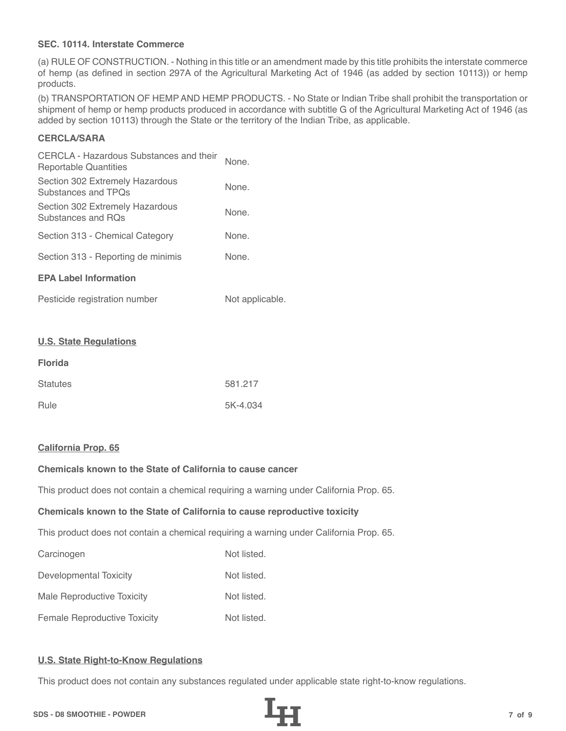## **SEC. 10114. Interstate Commerce**

(a) RULE OF CONSTRUCTION. - Nothing in this title or an amendment made by this title prohibits the interstate commerce of hemp (as defined in section 297A of the Agricultural Marketing Act of 1946 (as added by section 10113)) or hemp products.

(b) TRANSPORTATION OF HEMP AND HEMP PRODUCTS. - No State or Indian Tribe shall prohibit the transportation or shipment of hemp or hemp products produced in accordance with subtitle G of the Agricultural Marketing Act of 1946 (as added by section 10113) through the State or the territory of the Indian Tribe, as applicable.

# **CERCLA/SARA**

| CERCLA - Hazardous Substances and their<br>Reportable Quantities | None. |
|------------------------------------------------------------------|-------|
| Section 302 Extremely Hazardous<br>Substances and TPOs           | None. |
| Section 302 Extremely Hazardous<br>Substances and ROs            | None. |
| Section 313 - Chemical Category                                  | None. |
| Section 313 - Reporting de minimis                               | None. |
| <b>EPA Label Information</b>                                     |       |
|                                                                  |       |

| Pesticide registration number | Not applicable. |
|-------------------------------|-----------------|
|-------------------------------|-----------------|

#### **U.S. State Regulations**

| <b>Florida</b>  |          |
|-----------------|----------|
| <b>Statutes</b> | 581.217  |
| Rule            | 5K-4.034 |

#### **California Prop. 65**

# **Chemicals known to the State of California to cause cancer**

This product does not contain a chemical requiring a warning under California Prop. 65.

#### **Chemicals known to the State of California to cause reproductive toxicity**

This product does not contain a chemical requiring a warning under California Prop. 65.

| Carcinogen                          | Not listed. |
|-------------------------------------|-------------|
| Developmental Toxicity              | Not listed. |
| Male Reproductive Toxicity          | Not listed. |
| <b>Female Reproductive Toxicity</b> | Not listed. |

#### **U.S. State Right-to-Know Regulations**

This product does not contain any substances regulated under applicable state right-to-know regulations.

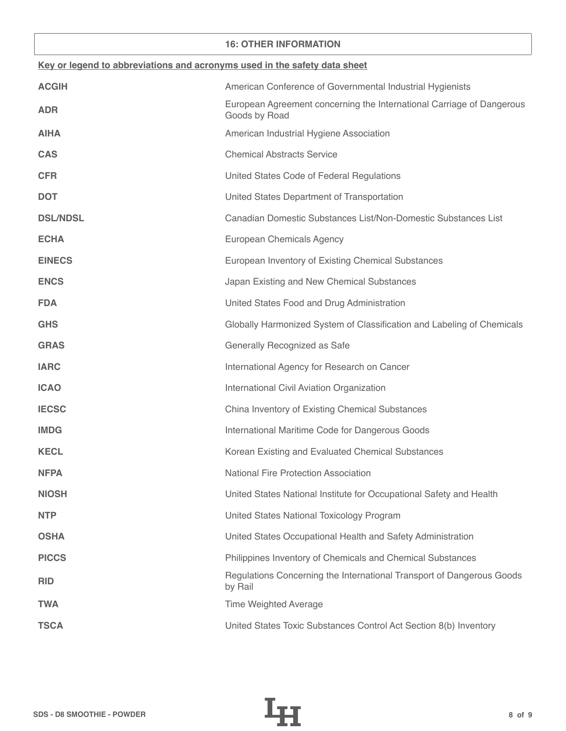#### **16: OTHER INFORMATION**

| Key or legend to abbreviations and acronyms used in the safety data sheet |                                                                                        |  |
|---------------------------------------------------------------------------|----------------------------------------------------------------------------------------|--|
| <b>ACGIH</b>                                                              | American Conference of Governmental Industrial Hygienists                              |  |
| <b>ADR</b>                                                                | European Agreement concerning the International Carriage of Dangerous<br>Goods by Road |  |
| <b>AIHA</b>                                                               | American Industrial Hygiene Association                                                |  |
| <b>CAS</b>                                                                | <b>Chemical Abstracts Service</b>                                                      |  |
| <b>CFR</b>                                                                | United States Code of Federal Regulations                                              |  |
| <b>DOT</b>                                                                | United States Department of Transportation                                             |  |
| <b>DSL/NDSL</b>                                                           | Canadian Domestic Substances List/Non-Domestic Substances List                         |  |
| <b>ECHA</b>                                                               | European Chemicals Agency                                                              |  |
| <b>EINECS</b>                                                             | European Inventory of Existing Chemical Substances                                     |  |
| <b>ENCS</b>                                                               | Japan Existing and New Chemical Substances                                             |  |
| <b>FDA</b>                                                                | United States Food and Drug Administration                                             |  |
| <b>GHS</b>                                                                | Globally Harmonized System of Classification and Labeling of Chemicals                 |  |
| <b>GRAS</b>                                                               | Generally Recognized as Safe                                                           |  |
| <b>IARC</b>                                                               | International Agency for Research on Cancer                                            |  |
| <b>ICAO</b>                                                               | International Civil Aviation Organization                                              |  |
| <b>IECSC</b>                                                              | China Inventory of Existing Chemical Substances                                        |  |
| <b>IMDG</b>                                                               | International Maritime Code for Dangerous Goods                                        |  |
| <b>KECL</b>                                                               | Korean Existing and Evaluated Chemical Substances                                      |  |
| <b>NFPA</b>                                                               | National Fire Protection Association                                                   |  |
| <b>NIOSH</b>                                                              | United States National Institute for Occupational Safety and Health                    |  |
| <b>NTP</b>                                                                | United States National Toxicology Program                                              |  |
| <b>OSHA</b>                                                               | United States Occupational Health and Safety Administration                            |  |
| <b>PICCS</b>                                                              | Philippines Inventory of Chemicals and Chemical Substances                             |  |
| <b>RID</b>                                                                | Regulations Concerning the International Transport of Dangerous Goods<br>by Rail       |  |
| <b>TWA</b>                                                                | <b>Time Weighted Average</b>                                                           |  |
| <b>TSCA</b>                                                               | United States Toxic Substances Control Act Section 8(b) Inventory                      |  |